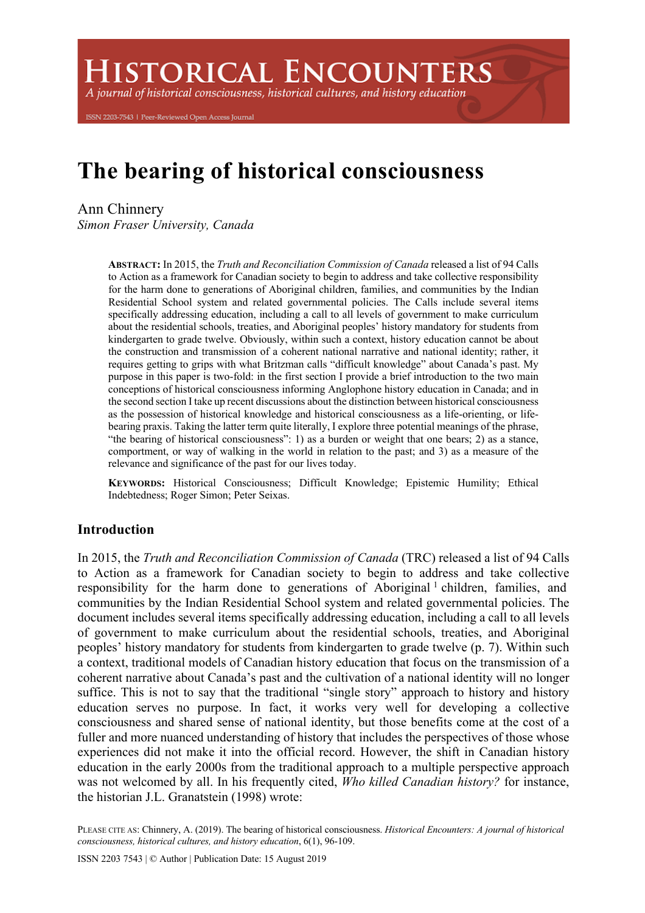**ISTORICAL ENCOUNTERS** 

A journal of historical consciousness, historical cultures, and history education

ISSN 2203-7543 | Peer-Reviewed Open Access Journal

# **The bearing of historical consciousness**

Ann Chinnery *Simon Fraser University, Canada*

> **ABSTRACT:** In 2015, the *Truth and Reconciliation Commission of Canada* released a list of 94 Calls to Action as a framework for Canadian society to begin to address and take collective responsibility for the harm done to generations of Aboriginal children, families, and communities by the Indian Residential School system and related governmental policies. The Calls include several items specifically addressing education, including a call to all levels of government to make curriculum about the residential schools, treaties, and Aboriginal peoples' history mandatory for students from kindergarten to grade twelve. Obviously, within such a context, history education cannot be about the construction and transmission of a coherent national narrative and national identity; rather, it requires getting to grips with what Britzman calls "difficult knowledge" about Canada's past. My purpose in this paper is two-fold: in the first section I provide a brief introduction to the two main conceptions of historical consciousness informing Anglophone history education in Canada; and in the second section I take up recent discussions about the distinction between historical consciousness as the possession of historical knowledge and historical consciousness as a life-orienting, or lifebearing praxis. Taking the latter term quite literally, I explore three potential meanings of the phrase, "the bearing of historical consciousness": 1) as a burden or weight that one bears; 2) as a stance, comportment, or way of walking in the world in relation to the past; and 3) as a measure of the relevance and significance of the past for our lives today.

> **KEYWORDS:** Historical Consciousness; Difficult Knowledge; Epistemic Humility; Ethical Indebtedness; Roger Simon; Peter Seixas.

## **Introduction**

In 2015, the *Truth and Reconciliation Commission of Canada* (TRC) released a list of 94 Calls to Action as a framework for Canadian society to begin to address and take collective responsibility for the harm done to generations of Aboriginal<sup>1</sup> children, families, and communities by the Indian Residential School system and related governmental policies. The document includes several items specifically addressing education, including a call to all levels of government to make curriculum about the residential schools, treaties, and Aboriginal peoples' history mandatory for students from kindergarten to grade twelve (p. 7). Within such a context, traditional models of Canadian history education that focus on the transmission of a coherent narrative about Canada's past and the cultivation of a national identity will no longer suffice. This is not to say that the traditional "single story" approach to history and history education serves no purpose. In fact, it works very well for developing a collective consciousness and shared sense of national identity, but those benefits come at the cost of a fuller and more nuanced understanding of history that includes the perspectives of those whose experiences did not make it into the official record. However, the shift in Canadian history education in the early 2000s from the traditional approach to a multiple perspective approach was not welcomed by all. In his frequently cited, *Who killed Canadian history?* for instance, the historian J.L. Granatstein (1998) wrote:

PLEASE CITE AS: Chinnery, A. (2019). The bearing of historical consciousness. *Historical Encounters: A journal of historical consciousness, historical cultures, and history education*, 6(1), 96-109.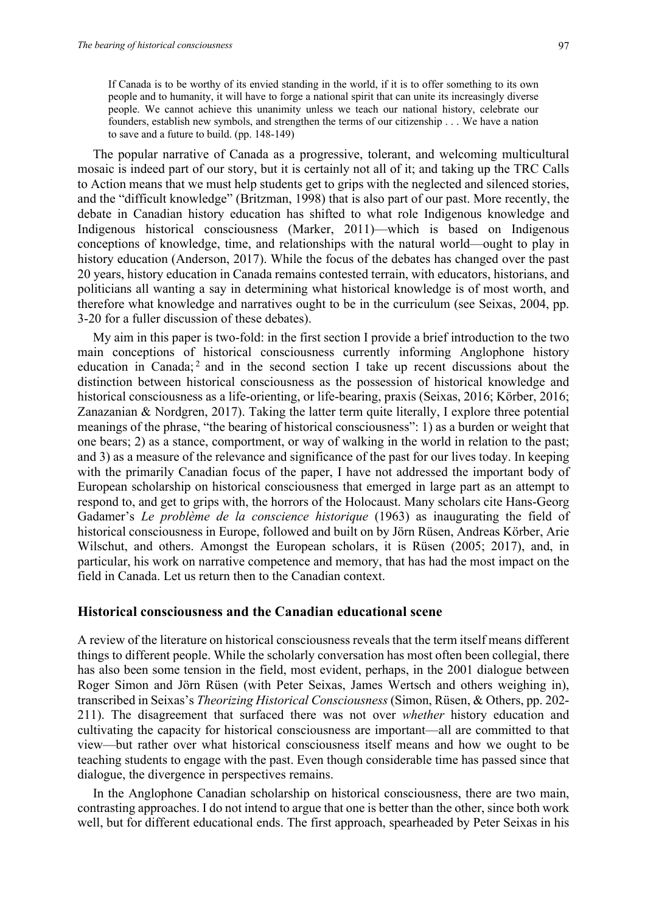If Canada is to be worthy of its envied standing in the world, if it is to offer something to its own people and to humanity, it will have to forge a national spirit that can unite its increasingly diverse people. We cannot achieve this unanimity unless we teach our national history, celebrate our founders, establish new symbols, and strengthen the terms of our citizenship . . . We have a nation to save and a future to build. (pp. 148-149)

The popular narrative of Canada as a progressive, tolerant, and welcoming multicultural mosaic is indeed part of our story, but it is certainly not all of it; and taking up the TRC Calls to Action means that we must help students get to grips with the neglected and silenced stories, and the "difficult knowledge" (Britzman, 1998) that is also part of our past. More recently, the debate in Canadian history education has shifted to what role Indigenous knowledge and Indigenous historical consciousness (Marker, 2011)—which is based on Indigenous conceptions of knowledge, time, and relationships with the natural world—ought to play in history education (Anderson, 2017). While the focus of the debates has changed over the past 20 years, history education in Canada remains contested terrain, with educators, historians, and politicians all wanting a say in determining what historical knowledge is of most worth, and therefore what knowledge and narratives ought to be in the curriculum (see Seixas, 2004, pp. 3-20 for a fuller discussion of these debates).

My aim in this paper is two-fold: in the first section I provide a brief introduction to the two main conceptions of historical consciousness currently informing Anglophone history education in Canada;<sup>2</sup> and in the second section I take up recent discussions about the distinction between historical consciousness as the possession of historical knowledge and historical consciousness as a life-orienting, or life-bearing, praxis (Seixas, 2016; Körber, 2016; Zanazanian & Nordgren, 2017). Taking the latter term quite literally, I explore three potential meanings of the phrase, "the bearing of historical consciousness": 1) as a burden or weight that one bears; 2) as a stance, comportment, or way of walking in the world in relation to the past; and 3) as a measure of the relevance and significance of the past for our lives today. In keeping with the primarily Canadian focus of the paper, I have not addressed the important body of European scholarship on historical consciousness that emerged in large part as an attempt to respond to, and get to grips with, the horrors of the Holocaust. Many scholars cite Hans-Georg Gadamer's *Le problème de la conscience historique* (1963) as inaugurating the field of historical consciousness in Europe, followed and built on by Jörn Rüsen, Andreas Körber, Arie Wilschut, and others. Amongst the European scholars, it is Rüsen (2005; 2017), and, in particular, his work on narrative competence and memory, that has had the most impact on the field in Canada. Let us return then to the Canadian context.

#### **Historical consciousness and the Canadian educational scene**

A review of the literature on historical consciousness reveals that the term itself means different things to different people. While the scholarly conversation has most often been collegial, there has also been some tension in the field, most evident, perhaps, in the 2001 dialogue between Roger Simon and Jörn Rüsen (with Peter Seixas, James Wertsch and others weighing in), transcribed in Seixas's *Theorizing Historical Consciousness* (Simon, Rüsen, & Others, pp. 202- 211). The disagreement that surfaced there was not over *whether* history education and cultivating the capacity for historical consciousness are important—all are committed to that view—but rather over what historical consciousness itself means and how we ought to be teaching students to engage with the past. Even though considerable time has passed since that dialogue, the divergence in perspectives remains.

In the Anglophone Canadian scholarship on historical consciousness, there are two main, contrasting approaches. I do not intend to argue that one is better than the other, since both work well, but for different educational ends. The first approach, spearheaded by Peter Seixas in his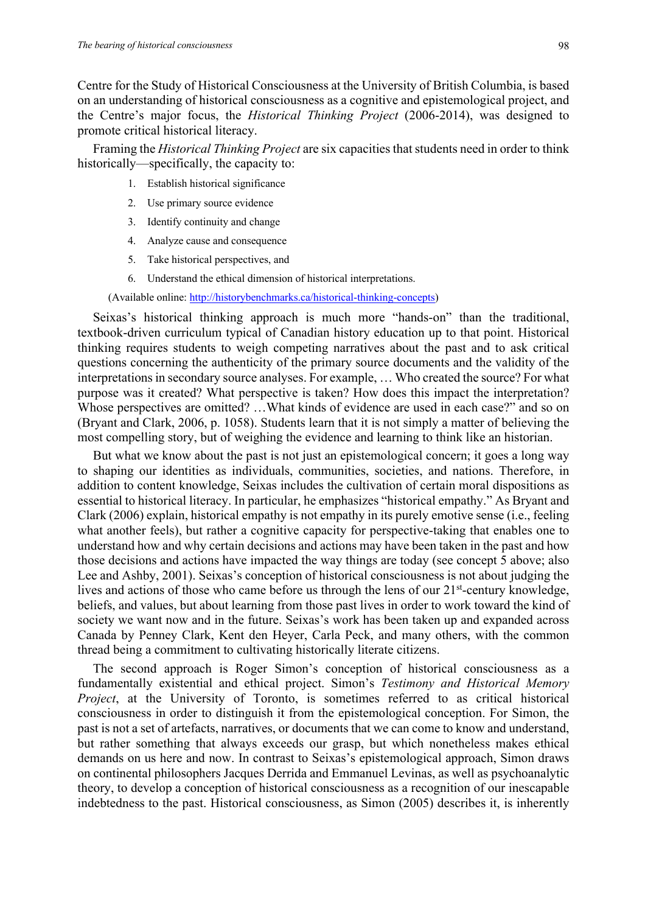Centre for the Study of Historical Consciousness at the University of British Columbia, is based on an understanding of historical consciousness as a cognitive and epistemological project, and the Centre's major focus, the *Historical Thinking Project* (2006-2014), was designed to promote critical historical literacy.

Framing the *Historical Thinking Project* are six capacities that students need in order to think historically—specifically, the capacity to:

- 1. Establish historical significance
- 2. Use primary source evidence
- 3. Identify continuity and change
- 4. Analyze cause and consequence
- 5. Take historical perspectives, and
- 6. Understand the ethical dimension of historical interpretations.

(Available online: http://historybenchmarks.ca/historical-thinking-concepts)

Seixas's historical thinking approach is much more "hands-on" than the traditional, textbook-driven curriculum typical of Canadian history education up to that point. Historical thinking requires students to weigh competing narratives about the past and to ask critical questions concerning the authenticity of the primary source documents and the validity of the interpretations in secondary source analyses. For example, … Who created the source? For what purpose was it created? What perspective is taken? How does this impact the interpretation? Whose perspectives are omitted? …What kinds of evidence are used in each case?" and so on (Bryant and Clark, 2006, p. 1058). Students learn that it is not simply a matter of believing the most compelling story, but of weighing the evidence and learning to think like an historian.

But what we know about the past is not just an epistemological concern; it goes a long way to shaping our identities as individuals, communities, societies, and nations. Therefore, in addition to content knowledge, Seixas includes the cultivation of certain moral dispositions as essential to historical literacy. In particular, he emphasizes "historical empathy." As Bryant and Clark (2006) explain, historical empathy is not empathy in its purely emotive sense (i.e., feeling what another feels), but rather a cognitive capacity for perspective-taking that enables one to understand how and why certain decisions and actions may have been taken in the past and how those decisions and actions have impacted the way things are today (see concept 5 above; also Lee and Ashby, 2001). Seixas's conception of historical consciousness is not about judging the lives and actions of those who came before us through the lens of our 21<sup>st</sup>-century knowledge, beliefs, and values, but about learning from those past lives in order to work toward the kind of society we want now and in the future. Seixas's work has been taken up and expanded across Canada by Penney Clark, Kent den Heyer, Carla Peck, and many others, with the common thread being a commitment to cultivating historically literate citizens.

The second approach is Roger Simon's conception of historical consciousness as a fundamentally existential and ethical project. Simon's *Testimony and Historical Memory Project*, at the University of Toronto, is sometimes referred to as critical historical consciousness in order to distinguish it from the epistemological conception. For Simon, the past is not a set of artefacts, narratives, or documents that we can come to know and understand, but rather something that always exceeds our grasp, but which nonetheless makes ethical demands on us here and now. In contrast to Seixas's epistemological approach, Simon draws on continental philosophers Jacques Derrida and Emmanuel Levinas, as well as psychoanalytic theory, to develop a conception of historical consciousness as a recognition of our inescapable indebtedness to the past. Historical consciousness, as Simon (2005) describes it, is inherently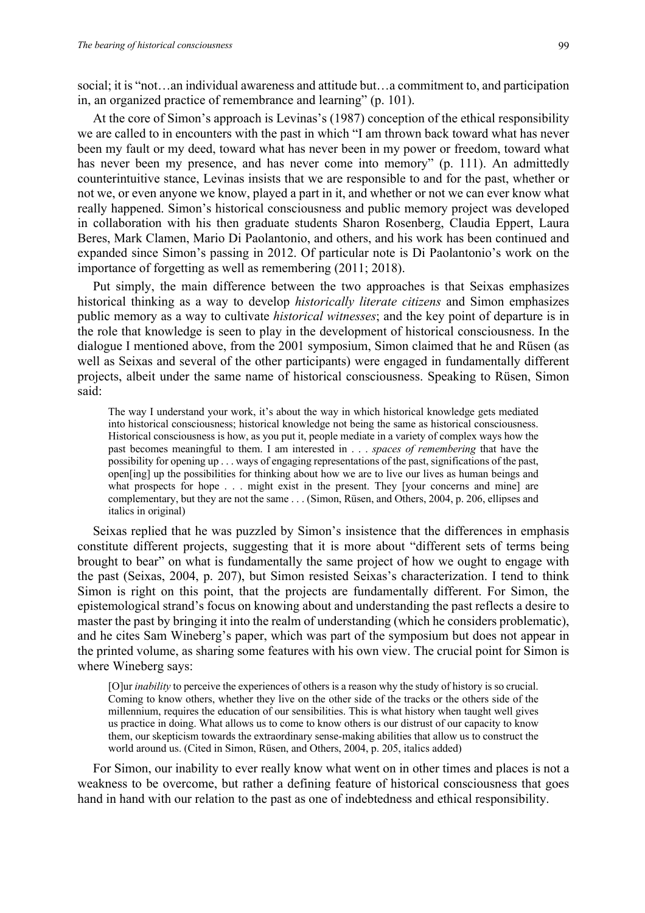social; it is "not…an individual awareness and attitude but…a commitment to, and participation in, an organized practice of remembrance and learning" (p. 101).

At the core of Simon's approach is Levinas's (1987) conception of the ethical responsibility we are called to in encounters with the past in which "I am thrown back toward what has never been my fault or my deed, toward what has never been in my power or freedom, toward what has never been my presence, and has never come into memory" (p. 111). An admittedly counterintuitive stance, Levinas insists that we are responsible to and for the past, whether or not we, or even anyone we know, played a part in it, and whether or not we can ever know what really happened. Simon's historical consciousness and public memory project was developed in collaboration with his then graduate students Sharon Rosenberg, Claudia Eppert, Laura Beres, Mark Clamen, Mario Di Paolantonio, and others, and his work has been continued and expanded since Simon's passing in 2012. Of particular note is Di Paolantonio's work on the importance of forgetting as well as remembering (2011; 2018).

Put simply, the main difference between the two approaches is that Seixas emphasizes historical thinking as a way to develop *historically literate citizens* and Simon emphasizes public memory as a way to cultivate *historical witnesses*; and the key point of departure is in the role that knowledge is seen to play in the development of historical consciousness. In the dialogue I mentioned above, from the 2001 symposium, Simon claimed that he and Rüsen (as well as Seixas and several of the other participants) were engaged in fundamentally different projects, albeit under the same name of historical consciousness. Speaking to Rüsen, Simon said:

The way I understand your work, it's about the way in which historical knowledge gets mediated into historical consciousness; historical knowledge not being the same as historical consciousness. Historical consciousness is how, as you put it, people mediate in a variety of complex ways how the past becomes meaningful to them. I am interested in . . . *spaces of remembering* that have the possibility for opening up . . . ways of engaging representations of the past, significations of the past, open[ing] up the possibilities for thinking about how we are to live our lives as human beings and what prospects for hope . . . might exist in the present. They [your concerns and mine] are complementary, but they are not the same . . . (Simon, Rüsen, and Others, 2004, p. 206, ellipses and italics in original)

Seixas replied that he was puzzled by Simon's insistence that the differences in emphasis constitute different projects, suggesting that it is more about "different sets of terms being brought to bear" on what is fundamentally the same project of how we ought to engage with the past (Seixas, 2004, p. 207), but Simon resisted Seixas's characterization. I tend to think Simon is right on this point, that the projects are fundamentally different. For Simon, the epistemological strand's focus on knowing about and understanding the past reflects a desire to master the past by bringing it into the realm of understanding (which he considers problematic), and he cites Sam Wineberg's paper, which was part of the symposium but does not appear in the printed volume, as sharing some features with his own view. The crucial point for Simon is where Wineberg says:

[O]ur *inability* to perceive the experiences of others is a reason why the study of history is so crucial. Coming to know others, whether they live on the other side of the tracks or the others side of the millennium, requires the education of our sensibilities. This is what history when taught well gives us practice in doing. What allows us to come to know others is our distrust of our capacity to know them, our skepticism towards the extraordinary sense-making abilities that allow us to construct the world around us. (Cited in Simon, Rüsen, and Others, 2004, p. 205, italics added)

For Simon, our inability to ever really know what went on in other times and places is not a weakness to be overcome, but rather a defining feature of historical consciousness that goes hand in hand with our relation to the past as one of indebtedness and ethical responsibility.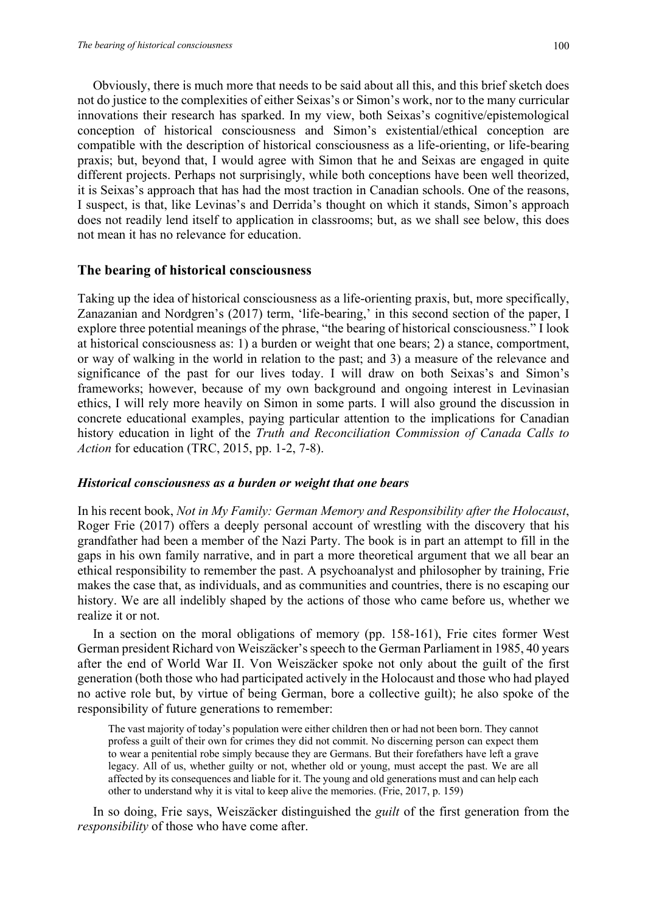Obviously, there is much more that needs to be said about all this, and this brief sketch does not do justice to the complexities of either Seixas's or Simon's work, nor to the many curricular innovations their research has sparked. In my view, both Seixas's cognitive/epistemological conception of historical consciousness and Simon's existential/ethical conception are compatible with the description of historical consciousness as a life-orienting, or life-bearing praxis; but, beyond that, I would agree with Simon that he and Seixas are engaged in quite different projects. Perhaps not surprisingly, while both conceptions have been well theorized, it is Seixas's approach that has had the most traction in Canadian schools. One of the reasons, I suspect, is that, like Levinas's and Derrida's thought on which it stands, Simon's approach does not readily lend itself to application in classrooms; but, as we shall see below, this does not mean it has no relevance for education.

#### **The bearing of historical consciousness**

Taking up the idea of historical consciousness as a life-orienting praxis, but, more specifically, Zanazanian and Nordgren's (2017) term, 'life-bearing,' in this second section of the paper, I explore three potential meanings of the phrase, "the bearing of historical consciousness." I look at historical consciousness as: 1) a burden or weight that one bears; 2) a stance, comportment, or way of walking in the world in relation to the past; and 3) a measure of the relevance and significance of the past for our lives today. I will draw on both Seixas's and Simon's frameworks; however, because of my own background and ongoing interest in Levinasian ethics, I will rely more heavily on Simon in some parts. I will also ground the discussion in concrete educational examples, paying particular attention to the implications for Canadian history education in light of the *Truth and Reconciliation Commission of Canada Calls to Action* for education (TRC, 2015, pp. 1-2, 7-8).

### *Historical consciousness as a burden or weight that one bears*

In his recent book, *Not in My Family: German Memory and Responsibility after the Holocaust*, Roger Frie (2017) offers a deeply personal account of wrestling with the discovery that his grandfather had been a member of the Nazi Party. The book is in part an attempt to fill in the gaps in his own family narrative, and in part a more theoretical argument that we all bear an ethical responsibility to remember the past. A psychoanalyst and philosopher by training, Frie makes the case that, as individuals, and as communities and countries, there is no escaping our history. We are all indelibly shaped by the actions of those who came before us, whether we realize it or not.

In a section on the moral obligations of memory (pp. 158-161), Frie cites former West German president Richard von Weiszäcker's speech to the German Parliament in 1985, 40 years after the end of World War II. Von Weiszäcker spoke not only about the guilt of the first generation (both those who had participated actively in the Holocaust and those who had played no active role but, by virtue of being German, bore a collective guilt); he also spoke of the responsibility of future generations to remember:

The vast majority of today's population were either children then or had not been born. They cannot profess a guilt of their own for crimes they did not commit. No discerning person can expect them to wear a penitential robe simply because they are Germans. But their forefathers have left a grave legacy. All of us, whether guilty or not, whether old or young, must accept the past. We are all affected by its consequences and liable for it. The young and old generations must and can help each other to understand why it is vital to keep alive the memories. (Frie, 2017, p. 159)

In so doing, Frie says, Weiszäcker distinguished the *guilt* of the first generation from the *responsibility* of those who have come after.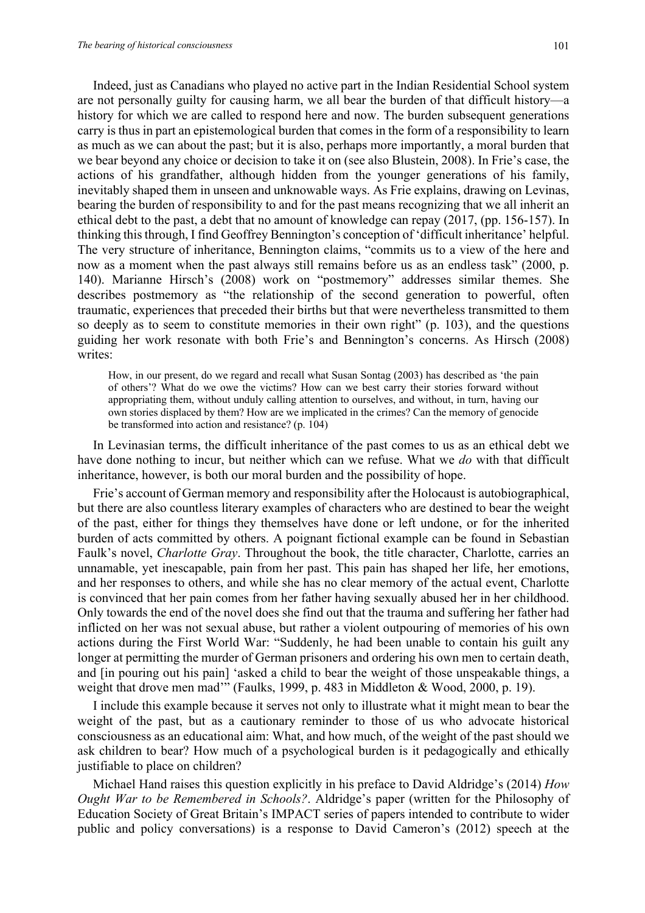Indeed, just as Canadians who played no active part in the Indian Residential School system are not personally guilty for causing harm, we all bear the burden of that difficult history—a history for which we are called to respond here and now. The burden subsequent generations carry is thus in part an epistemological burden that comes in the form of a responsibility to learn as much as we can about the past; but it is also, perhaps more importantly, a moral burden that we bear beyond any choice or decision to take it on (see also Blustein, 2008). In Frie's case, the actions of his grandfather, although hidden from the younger generations of his family, inevitably shaped them in unseen and unknowable ways. As Frie explains, drawing on Levinas, bearing the burden of responsibility to and for the past means recognizing that we all inherit an ethical debt to the past, a debt that no amount of knowledge can repay (2017, (pp. 156-157). In thinking this through, I find Geoffrey Bennington's conception of 'difficult inheritance' helpful. The very structure of inheritance, Bennington claims, "commits us to a view of the here and now as a moment when the past always still remains before us as an endless task" (2000, p. 140). Marianne Hirsch's (2008) work on "postmemory" addresses similar themes. She describes postmemory as "the relationship of the second generation to powerful, often traumatic, experiences that preceded their births but that were nevertheless transmitted to them so deeply as to seem to constitute memories in their own right" (p. 103), and the questions guiding her work resonate with both Frie's and Bennington's concerns. As Hirsch (2008) writes:

How, in our present, do we regard and recall what Susan Sontag (2003) has described as 'the pain of others'? What do we owe the victims? How can we best carry their stories forward without appropriating them, without unduly calling attention to ourselves, and without, in turn, having our own stories displaced by them? How are we implicated in the crimes? Can the memory of genocide be transformed into action and resistance? (p. 104)

In Levinasian terms, the difficult inheritance of the past comes to us as an ethical debt we have done nothing to incur, but neither which can we refuse. What we *do* with that difficult inheritance, however, is both our moral burden and the possibility of hope.

Frie's account of German memory and responsibility after the Holocaust is autobiographical, but there are also countless literary examples of characters who are destined to bear the weight of the past, either for things they themselves have done or left undone, or for the inherited burden of acts committed by others. A poignant fictional example can be found in Sebastian Faulk's novel, *Charlotte Gray*. Throughout the book, the title character, Charlotte, carries an unnamable, yet inescapable, pain from her past. This pain has shaped her life, her emotions, and her responses to others, and while she has no clear memory of the actual event, Charlotte is convinced that her pain comes from her father having sexually abused her in her childhood. Only towards the end of the novel does she find out that the trauma and suffering her father had inflicted on her was not sexual abuse, but rather a violent outpouring of memories of his own actions during the First World War: "Suddenly, he had been unable to contain his guilt any longer at permitting the murder of German prisoners and ordering his own men to certain death, and [in pouring out his pain] 'asked a child to bear the weight of those unspeakable things, a weight that drove men mad'" (Faulks, 1999, p. 483 in Middleton & Wood, 2000, p. 19).

I include this example because it serves not only to illustrate what it might mean to bear the weight of the past, but as a cautionary reminder to those of us who advocate historical consciousness as an educational aim: What, and how much, of the weight of the past should we ask children to bear? How much of a psychological burden is it pedagogically and ethically justifiable to place on children?

Michael Hand raises this question explicitly in his preface to David Aldridge's (2014) *How Ought War to be Remembered in Schools?*. Aldridge's paper (written for the Philosophy of Education Society of Great Britain's IMPACT series of papers intended to contribute to wider public and policy conversations) is a response to David Cameron's (2012) speech at the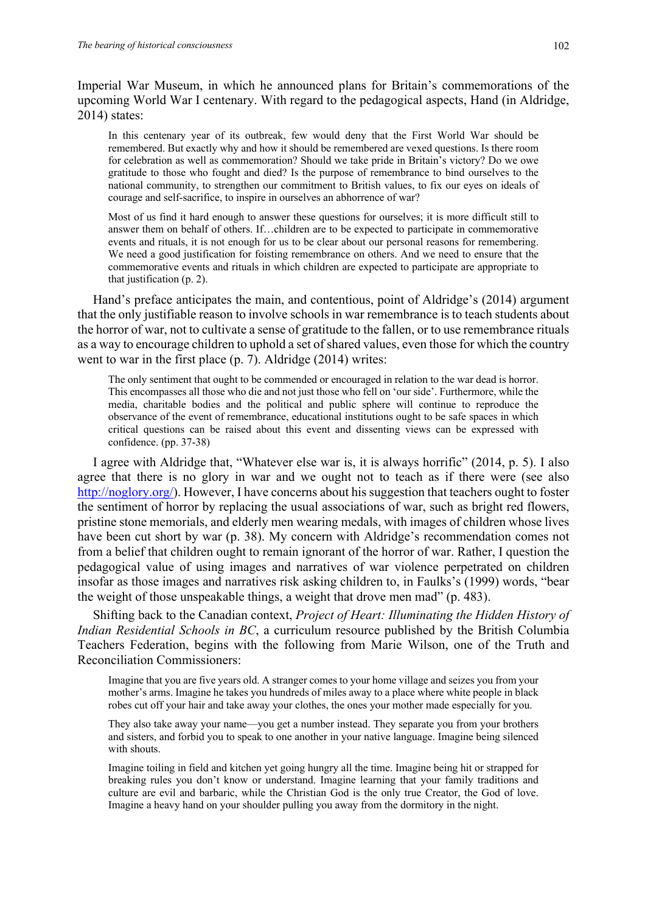Imperial War Museum, in which he announced plans for Britain's commemorations of the upcoming World War I centenary. With regard to the pedagogical aspects, Hand (in Aldridge, 2014) states:

In this centenary year of its outbreak, few would deny that the First World War should be remembered. But exactly why and how it should be remembered are vexed questions. Is there room for celebration as well as commemoration? Should we take pride in Britain's victory? Do we owe gratitude to those who fought and died? Is the purpose of remembrance to bind ourselves to the national community, to strengthen our commitment to British values, to fix our eyes on ideals of courage and self-sacrifice, to inspire in ourselves an abhorrence of war?

Most of us find it hard enough to answer these questions for ourselves; it is more difficult still to answer them on behalf of others. If…children are to be expected to participate in commemorative events and rituals, it is not enough for us to be clear about our personal reasons for remembering. We need a good justification for foisting remembrance on others. And we need to ensure that the commemorative events and rituals in which children are expected to participate are appropriate to that justification (p. 2).

Hand's preface anticipates the main, and contentious, point of Aldridge's (2014) argument that the only justifiable reason to involve schools in war remembrance is to teach students about the horror of war, not to cultivate a sense of gratitude to the fallen, or to use remembrance rituals as a way to encourage children to uphold a set of shared values, even those for which the country went to war in the first place (p. 7). Aldridge (2014) writes:

The only sentiment that ought to be commended or encouraged in relation to the war dead is horror. This encompasses all those who die and not just those who fell on 'our side'. Furthermore, while the media, charitable bodies and the political and public sphere will continue to reproduce the observance of the event of remembrance, educational institutions ought to be safe spaces in which critical questions can be raised about this event and dissenting views can be expressed with confidence. (pp. 37-38)

I agree with Aldridge that, "Whatever else war is, it is always horrific" (2014, p. 5). I also agree that there is no glory in war and we ought not to teach as if there were (see also http://noglory.org/). However, I have concerns about his suggestion that teachers ought to foster the sentiment of horror by replacing the usual associations of war, such as bright red flowers, pristine stone memorials, and elderly men wearing medals, with images of children whose lives have been cut short by war (p. 38). My concern with Aldridge's recommendation comes not from a belief that children ought to remain ignorant of the horror of war. Rather, I question the pedagogical value of using images and narratives of war violence perpetrated on children insofar as those images and narratives risk asking children to, in Faulks's (1999) words, "bear the weight of those unspeakable things, a weight that drove men mad" (p. 483).

Shifting back to the Canadian context, *Project of Heart: Illuminating the Hidden History of Indian Residential Schools in BC*, a curriculum resource published by the British Columbia Teachers Federation, begins with the following from Marie Wilson, one of the Truth and Reconciliation Commissioners:

Imagine that you are five years old. A stranger comes to your home village and seizes you from your mother's arms. Imagine he takes you hundreds of miles away to a place where white people in black robes cut off your hair and take away your clothes, the ones your mother made especially for you.

They also take away your name—you get a number instead. They separate you from your brothers and sisters, and forbid you to speak to one another in your native language. Imagine being silenced with shouts.

Imagine toiling in field and kitchen yet going hungry all the time. Imagine being hit or strapped for breaking rules you don't know or understand. Imagine learning that your family traditions and culture are evil and barbaric, while the Christian God is the only true Creator, the God of love. Imagine a heavy hand on your shoulder pulling you away from the dormitory in the night.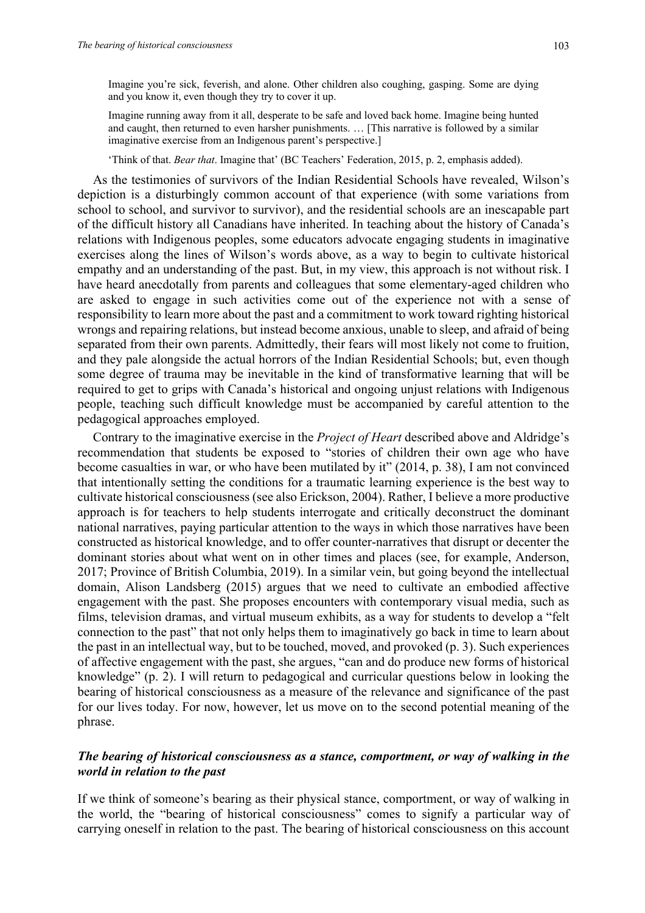Imagine you're sick, feverish, and alone. Other children also coughing, gasping. Some are dying and you know it, even though they try to cover it up.

Imagine running away from it all, desperate to be safe and loved back home. Imagine being hunted and caught, then returned to even harsher punishments. … [This narrative is followed by a similar imaginative exercise from an Indigenous parent's perspective.]

'Think of that. *Bear that*. Imagine that' (BC Teachers' Federation, 2015, p. 2, emphasis added).

As the testimonies of survivors of the Indian Residential Schools have revealed, Wilson's depiction is a disturbingly common account of that experience (with some variations from school to school, and survivor to survivor), and the residential schools are an inescapable part of the difficult history all Canadians have inherited. In teaching about the history of Canada's relations with Indigenous peoples, some educators advocate engaging students in imaginative exercises along the lines of Wilson's words above, as a way to begin to cultivate historical empathy and an understanding of the past. But, in my view, this approach is not without risk. I have heard anecdotally from parents and colleagues that some elementary-aged children who are asked to engage in such activities come out of the experience not with a sense of responsibility to learn more about the past and a commitment to work toward righting historical wrongs and repairing relations, but instead become anxious, unable to sleep, and afraid of being separated from their own parents. Admittedly, their fears will most likely not come to fruition, and they pale alongside the actual horrors of the Indian Residential Schools; but, even though some degree of trauma may be inevitable in the kind of transformative learning that will be required to get to grips with Canada's historical and ongoing unjust relations with Indigenous people, teaching such difficult knowledge must be accompanied by careful attention to the pedagogical approaches employed.

Contrary to the imaginative exercise in the *Project of Heart* described above and Aldridge's recommendation that students be exposed to "stories of children their own age who have become casualties in war, or who have been mutilated by it" (2014, p. 38), I am not convinced that intentionally setting the conditions for a traumatic learning experience is the best way to cultivate historical consciousness (see also Erickson, 2004). Rather, I believe a more productive approach is for teachers to help students interrogate and critically deconstruct the dominant national narratives, paying particular attention to the ways in which those narratives have been constructed as historical knowledge, and to offer counter-narratives that disrupt or decenter the dominant stories about what went on in other times and places (see, for example, Anderson, 2017; Province of British Columbia, 2019). In a similar vein, but going beyond the intellectual domain, Alison Landsberg (2015) argues that we need to cultivate an embodied affective engagement with the past. She proposes encounters with contemporary visual media, such as films, television dramas, and virtual museum exhibits, as a way for students to develop a "felt connection to the past" that not only helps them to imaginatively go back in time to learn about the past in an intellectual way, but to be touched, moved, and provoked (p. 3). Such experiences of affective engagement with the past, she argues, "can and do produce new forms of historical knowledge" (p. 2). I will return to pedagogical and curricular questions below in looking the bearing of historical consciousness as a measure of the relevance and significance of the past for our lives today. For now, however, let us move on to the second potential meaning of the phrase.

### *The bearing of historical consciousness as a stance, comportment, or way of walking in the world in relation to the past*

If we think of someone's bearing as their physical stance, comportment, or way of walking in the world, the "bearing of historical consciousness" comes to signify a particular way of carrying oneself in relation to the past. The bearing of historical consciousness on this account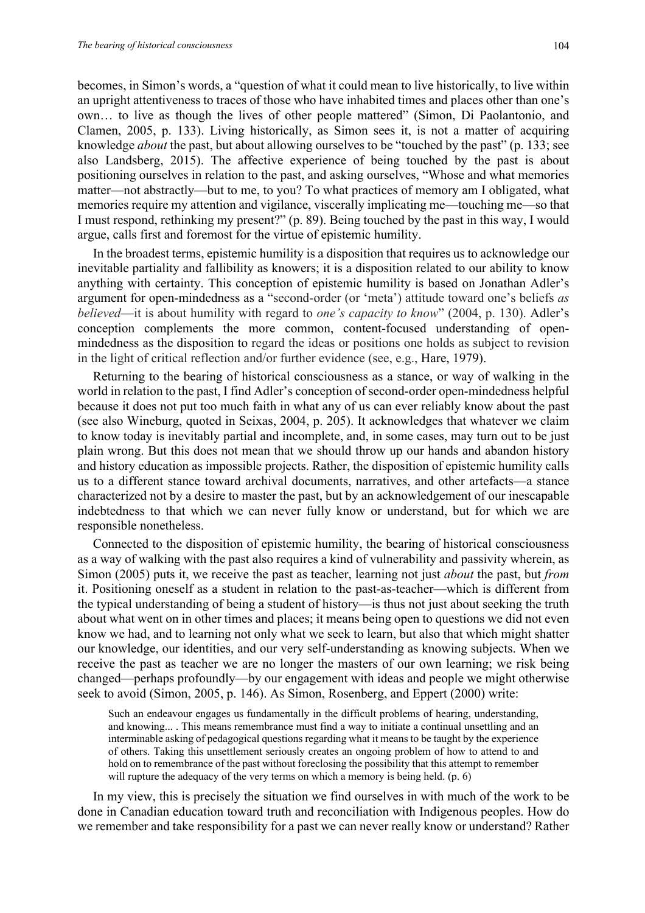becomes, in Simon's words, a "question of what it could mean to live historically, to live within an upright attentiveness to traces of those who have inhabited times and places other than one's own… to live as though the lives of other people mattered" (Simon, Di Paolantonio, and Clamen, 2005, p. 133). Living historically, as Simon sees it, is not a matter of acquiring knowledge *about* the past, but about allowing ourselves to be "touched by the past" (p. 133; see also Landsberg, 2015). The affective experience of being touched by the past is about positioning ourselves in relation to the past, and asking ourselves, "Whose and what memories matter—not abstractly—but to me, to you? To what practices of memory am I obligated, what memories require my attention and vigilance, viscerally implicating me—touching me—so that I must respond, rethinking my present?" (p. 89). Being touched by the past in this way, I would argue, calls first and foremost for the virtue of epistemic humility.

In the broadest terms, epistemic humility is a disposition that requires us to acknowledge our inevitable partiality and fallibility as knowers; it is a disposition related to our ability to know anything with certainty. This conception of epistemic humility is based on Jonathan Adler's argument for open-mindedness as a "second-order (or 'meta') attitude toward one's beliefs *as believed*—it is about humility with regard to *one's capacity to know*" (2004, p. 130). Adler's conception complements the more common, content-focused understanding of openmindedness as the disposition to regard the ideas or positions one holds as subject to revision in the light of critical reflection and/or further evidence (see, e.g., Hare, 1979).

Returning to the bearing of historical consciousness as a stance, or way of walking in the world in relation to the past, I find Adler's conception of second-order open-mindedness helpful because it does not put too much faith in what any of us can ever reliably know about the past (see also Wineburg, quoted in Seixas, 2004, p. 205). It acknowledges that whatever we claim to know today is inevitably partial and incomplete, and, in some cases, may turn out to be just plain wrong. But this does not mean that we should throw up our hands and abandon history and history education as impossible projects. Rather, the disposition of epistemic humility calls us to a different stance toward archival documents, narratives, and other artefacts—a stance characterized not by a desire to master the past, but by an acknowledgement of our inescapable indebtedness to that which we can never fully know or understand, but for which we are responsible nonetheless.

Connected to the disposition of epistemic humility, the bearing of historical consciousness as a way of walking with the past also requires a kind of vulnerability and passivity wherein, as Simon (2005) puts it, we receive the past as teacher, learning not just *about* the past, but *from* it. Positioning oneself as a student in relation to the past-as-teacher—which is different from the typical understanding of being a student of history—is thus not just about seeking the truth about what went on in other times and places; it means being open to questions we did not even know we had, and to learning not only what we seek to learn, but also that which might shatter our knowledge, our identities, and our very self-understanding as knowing subjects. When we receive the past as teacher we are no longer the masters of our own learning; we risk being changed—perhaps profoundly—by our engagement with ideas and people we might otherwise seek to avoid (Simon, 2005, p. 146). As Simon, Rosenberg, and Eppert (2000) write:

Such an endeavour engages us fundamentally in the difficult problems of hearing, understanding, and knowing... . This means remembrance must find a way to initiate a continual unsettling and an interminable asking of pedagogical questions regarding what it means to be taught by the experience of others. Taking this unsettlement seriously creates an ongoing problem of how to attend to and hold on to remembrance of the past without foreclosing the possibility that this attempt to remember will rupture the adequacy of the very terms on which a memory is being held. (p. 6)

In my view, this is precisely the situation we find ourselves in with much of the work to be done in Canadian education toward truth and reconciliation with Indigenous peoples. How do we remember and take responsibility for a past we can never really know or understand? Rather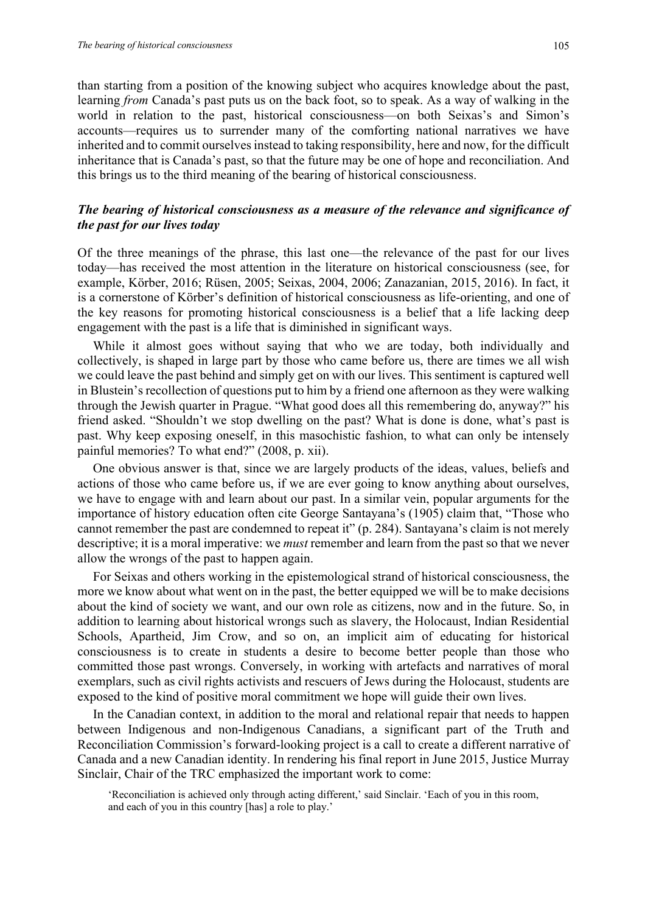than starting from a position of the knowing subject who acquires knowledge about the past, learning *from* Canada's past puts us on the back foot, so to speak. As a way of walking in the world in relation to the past, historical consciousness—on both Seixas's and Simon's accounts—requires us to surrender many of the comforting national narratives we have inherited and to commit ourselves instead to taking responsibility, here and now, for the difficult inheritance that is Canada's past, so that the future may be one of hope and reconciliation. And this brings us to the third meaning of the bearing of historical consciousness.

#### *The bearing of historical consciousness as a measure of the relevance and significance of the past for our lives today*

Of the three meanings of the phrase, this last one—the relevance of the past for our lives today—has received the most attention in the literature on historical consciousness (see, for example, Körber, 2016; Rüsen, 2005; Seixas, 2004, 2006; Zanazanian, 2015, 2016). In fact, it is a cornerstone of Körber's definition of historical consciousness as life-orienting, and one of the key reasons for promoting historical consciousness is a belief that a life lacking deep engagement with the past is a life that is diminished in significant ways.

While it almost goes without saying that who we are today, both individually and collectively, is shaped in large part by those who came before us, there are times we all wish we could leave the past behind and simply get on with our lives. This sentiment is captured well in Blustein's recollection of questions put to him by a friend one afternoon as they were walking through the Jewish quarter in Prague. "What good does all this remembering do, anyway?" his friend asked. "Shouldn't we stop dwelling on the past? What is done is done, what's past is past. Why keep exposing oneself, in this masochistic fashion, to what can only be intensely painful memories? To what end?" (2008, p. xii).

One obvious answer is that, since we are largely products of the ideas, values, beliefs and actions of those who came before us, if we are ever going to know anything about ourselves, we have to engage with and learn about our past. In a similar vein, popular arguments for the importance of history education often cite George Santayana's (1905) claim that, "Those who cannot remember the past are condemned to repeat it" (p. 284). Santayana's claim is not merely descriptive; it is a moral imperative: we *must* remember and learn from the past so that we never allow the wrongs of the past to happen again.

For Seixas and others working in the epistemological strand of historical consciousness, the more we know about what went on in the past, the better equipped we will be to make decisions about the kind of society we want, and our own role as citizens, now and in the future. So, in addition to learning about historical wrongs such as slavery, the Holocaust, Indian Residential Schools, Apartheid, Jim Crow, and so on, an implicit aim of educating for historical consciousness is to create in students a desire to become better people than those who committed those past wrongs. Conversely, in working with artefacts and narratives of moral exemplars, such as civil rights activists and rescuers of Jews during the Holocaust, students are exposed to the kind of positive moral commitment we hope will guide their own lives.

In the Canadian context, in addition to the moral and relational repair that needs to happen between Indigenous and non-Indigenous Canadians, a significant part of the Truth and Reconciliation Commission's forward-looking project is a call to create a different narrative of Canada and a new Canadian identity. In rendering his final report in June 2015, Justice Murray Sinclair, Chair of the TRC emphasized the important work to come:

'Reconciliation is achieved only through acting different,' said Sinclair. 'Each of you in this room, and each of you in this country [has] a role to play.'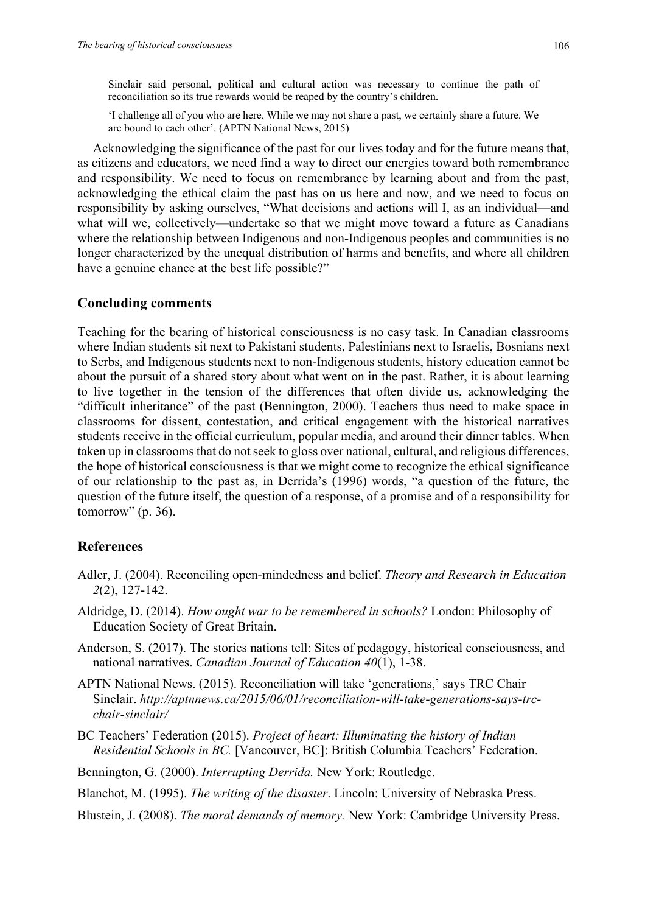Sinclair said personal, political and cultural action was necessary to continue the path of reconciliation so its true rewards would be reaped by the country's children.

'I challenge all of you who are here. While we may not share a past, we certainly share a future. We are bound to each other'. (APTN National News, 2015)

Acknowledging the significance of the past for our lives today and for the future means that, as citizens and educators, we need find a way to direct our energies toward both remembrance and responsibility. We need to focus on remembrance by learning about and from the past, acknowledging the ethical claim the past has on us here and now, and we need to focus on responsibility by asking ourselves, "What decisions and actions will I, as an individual—and what will we, collectively—undertake so that we might move toward a future as Canadians where the relationship between Indigenous and non-Indigenous peoples and communities is no longer characterized by the unequal distribution of harms and benefits, and where all children have a genuine chance at the best life possible?"

#### **Concluding comments**

Teaching for the bearing of historical consciousness is no easy task. In Canadian classrooms where Indian students sit next to Pakistani students, Palestinians next to Israelis, Bosnians next to Serbs, and Indigenous students next to non-Indigenous students, history education cannot be about the pursuit of a shared story about what went on in the past. Rather, it is about learning to live together in the tension of the differences that often divide us, acknowledging the "difficult inheritance" of the past (Bennington, 2000). Teachers thus need to make space in classrooms for dissent, contestation, and critical engagement with the historical narratives students receive in the official curriculum, popular media, and around their dinner tables. When taken up in classrooms that do not seek to gloss over national, cultural, and religious differences, the hope of historical consciousness is that we might come to recognize the ethical significance of our relationship to the past as, in Derrida's (1996) words, "a question of the future, the question of the future itself, the question of a response, of a promise and of a responsibility for tomorrow"  $(p. 36)$ .

## **References**

- Adler, J. (2004). Reconciling open-mindedness and belief. *Theory and Research in Education 2*(2), 127-142.
- Aldridge, D. (2014). *How ought war to be remembered in schools?* London: Philosophy of Education Society of Great Britain.
- Anderson, S. (2017). The stories nations tell: Sites of pedagogy, historical consciousness, and national narratives. *Canadian Journal of Education 40*(1), 1-38.
- APTN National News. (2015). Reconciliation will take 'generations,' says TRC Chair Sinclair. *http://aptnnews.ca/2015/06/01/reconciliation-will-take-generations-says-trcchair-sinclair/*
- BC Teachers' Federation (2015). *Project of heart: Illuminating the history of Indian Residential Schools in BC.* [Vancouver, BC]: British Columbia Teachers' Federation.
- Bennington, G. (2000). *Interrupting Derrida.* New York: Routledge.

Blanchot, M. (1995). *The writing of the disaster*. Lincoln: University of Nebraska Press.

Blustein, J. (2008). *The moral demands of memory.* New York: Cambridge University Press.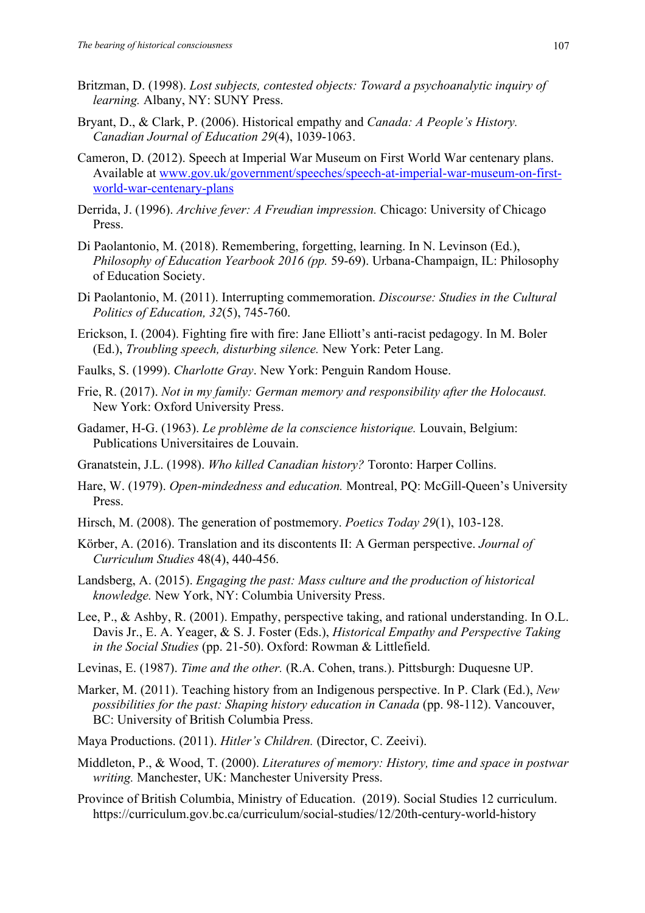- Britzman, D. (1998). *Lost subjects, contested objects: Toward a psychoanalytic inquiry of learning.* Albany, NY: SUNY Press.
- Bryant, D., & Clark, P. (2006). Historical empathy and *Canada: A People's History. Canadian Journal of Education 29*(4), 1039-1063.
- Cameron, D. (2012). Speech at Imperial War Museum on First World War centenary plans. Available at www.gov.uk/government/speeches/speech-at-imperial-war-museum-on-firstworld-war-centenary-plans
- Derrida, J. (1996). *Archive fever: A Freudian impression.* Chicago: University of Chicago Press.
- Di Paolantonio, M. (2018). Remembering, forgetting, learning. In N. Levinson (Ed.), *Philosophy of Education Yearbook 2016 (pp.* 59-69). Urbana-Champaign, IL: Philosophy of Education Society.
- Di Paolantonio, M. (2011). Interrupting commemoration. *Discourse: Studies in the Cultural Politics of Education, 32*(5), 745-760.
- Erickson, I. (2004). Fighting fire with fire: Jane Elliott's anti-racist pedagogy. In M. Boler (Ed.), *Troubling speech, disturbing silence.* New York: Peter Lang.
- Faulks, S. (1999). *Charlotte Gray*. New York: Penguin Random House.
- Frie, R. (2017). *Not in my family: German memory and responsibility after the Holocaust.*  New York: Oxford University Press.
- Gadamer, H-G. (1963). *Le problème de la conscience historique.* Louvain, Belgium: Publications Universitaires de Louvain.
- Granatstein, J.L. (1998). *Who killed Canadian history?* Toronto: Harper Collins.
- Hare, W. (1979). *Open-mindedness and education.* Montreal, PQ: McGill-Queen's University Press.
- Hirsch, M. (2008). The generation of postmemory. *Poetics Today 29*(1), 103-128.
- Körber, A. (2016). Translation and its discontents II: A German perspective. *Journal of Curriculum Studies* 48(4), 440-456.
- Landsberg, A. (2015). *Engaging the past: Mass culture and the production of historical knowledge.* New York, NY: Columbia University Press.
- Lee, P., & Ashby, R. (2001). Empathy, perspective taking, and rational understanding. In O.L. Davis Jr., E. A. Yeager, & S. J. Foster (Eds.), *Historical Empathy and Perspective Taking in the Social Studies* (pp. 21-50). Oxford: Rowman & Littlefield.
- Levinas, E. (1987). *Time and the other.* (R.A. Cohen, trans.). Pittsburgh: Duquesne UP.
- Marker, M. (2011). Teaching history from an Indigenous perspective. In P. Clark (Ed.), *New possibilities for the past: Shaping history education in Canada* (pp. 98-112). Vancouver, BC: University of British Columbia Press.
- Maya Productions. (2011). *Hitler's Children.* (Director, C. Zeeivi).
- Middleton, P., & Wood, T. (2000). *Literatures of memory: History, time and space in postwar writing.* Manchester, UK: Manchester University Press.
- Province of British Columbia, Ministry of Education. (2019). Social Studies 12 curriculum. https://curriculum.gov.bc.ca/curriculum/social-studies/12/20th-century-world-history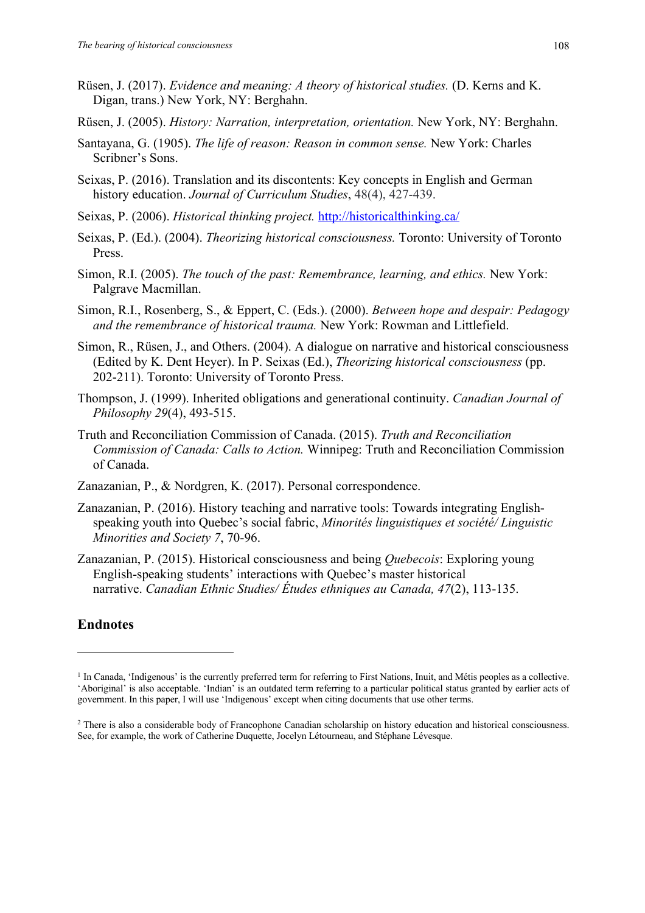- Rüsen, J. (2017). *Evidence and meaning: A theory of historical studies.* (D. Kerns and K. Digan, trans.) New York, NY: Berghahn.
- Rüsen, J. (2005). *History: Narration, interpretation, orientation.* New York, NY: Berghahn.
- Santayana, G. (1905). *The life of reason: Reason in common sense.* New York: Charles Scribner's Sons.
- Seixas, P. (2016). Translation and its discontents: Key concepts in English and German history education. *Journal of Curriculum Studies*, 48(4), 427-439.
- Seixas, P. (2006). *Historical thinking project.* http://historicalthinking.ca/
- Seixas, P. (Ed.). (2004). *Theorizing historical consciousness.* Toronto: University of Toronto Press.
- Simon, R.I. (2005). *The touch of the past: Remembrance, learning, and ethics.* New York: Palgrave Macmillan.
- Simon, R.I., Rosenberg, S., & Eppert, C. (Eds.). (2000). *Between hope and despair: Pedagogy and the remembrance of historical trauma.* New York: Rowman and Littlefield.
- Simon, R., Rüsen, J., and Others. (2004). A dialogue on narrative and historical consciousness (Edited by K. Dent Heyer). In P. Seixas (Ed.), *Theorizing historical consciousness* (pp. 202-211). Toronto: University of Toronto Press.
- Thompson, J. (1999). Inherited obligations and generational continuity. *Canadian Journal of Philosophy 29*(4), 493-515.
- Truth and Reconciliation Commission of Canada. (2015). *Truth and Reconciliation Commission of Canada: Calls to Action.* Winnipeg: Truth and Reconciliation Commission of Canada.
- Zanazanian, P., & Nordgren, K. (2017). Personal correspondence.
- Zanazanian, P. (2016). History teaching and narrative tools: Towards integrating Englishspeaking youth into Quebec's social fabric, *Minorités linguistiques et société/ Linguistic Minorities and Society 7*, 70-96.
- Zanazanian, P. (2015). Historical consciousness and being *Quebecois*: Exploring young English-speaking students' interactions with Quebec's master historical narrative. *Canadian Ethnic Studies/ Études ethniques au Canada, 47*(2), 113-135.

## **Endnotes**

<sup>&</sup>lt;sup>1</sup> In Canada, 'Indigenous' is the currently preferred term for referring to First Nations, Inuit, and Métis peoples as a collective. 'Aboriginal' is also acceptable. 'Indian' is an outdated term referring to a particular political status granted by earlier acts of government. In this paper, I will use 'Indigenous' except when citing documents that use other terms.

<sup>2</sup> There is also a considerable body of Francophone Canadian scholarship on history education and historical consciousness. See, for example, the work of Catherine Duquette, Jocelyn Létourneau, and Stéphane Lévesque.